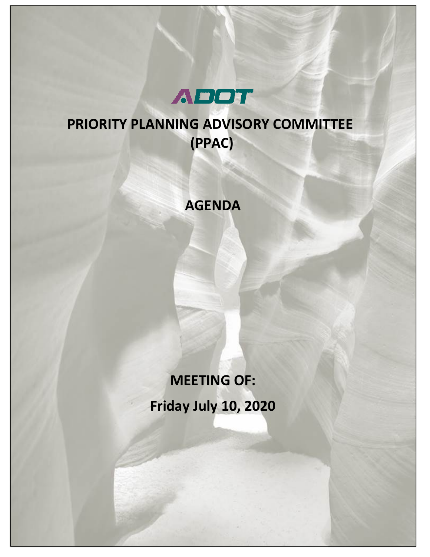

## **PRIORITY PLANNING ADVISORY COMMITTEE (PPAC)**

## **AGENDA**

# **MEETING OF: Friday July 10, 2020**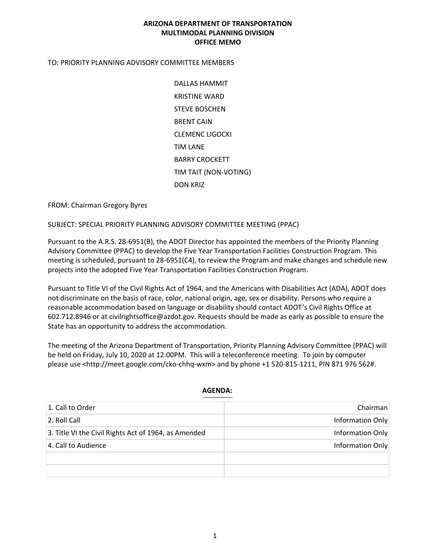#### **ARIZONA DEPARTMENT OF TRANSPORTATION MULTIMODAL PLANNING DIVISION OFFICE MEMO**

#### TO: PRIORITY PLANNING ADVISORY COMMITTEE MEMBERS

DALLAS HAMMIT KRISTINE WARD STEVE BOSCHEN BRENT CAIN CLEMENC LIGOCKI TIM LANE BARRY CROCKETT TIM TAIT (NON-VOTING) DON KRIZ

FROM: Chairman Gregory Byres

SUBJECT: SPECIAL PRIORITY PLANNING ADVISORY COMMITTEE MEETING (PPAC)

Pursuant to the A.R.S. 28-6951(B), the ADOT Director has appointed the members of the Priority Planning Advisory Committee (PPAC) to develop the Five Year Transportation Facilities Construction Program. This meeting is scheduled, pursuant to 28-6951(C4), to review the Program and make changes and schedule new projects into the adopted Five Year Transportation Facilities Construction Program.

Pursuant to Title VI of the Civil Rights Act of 1964, and the Americans with Disabilities Act (ADA), ADOT does not discriminate on the basis of race, color, national origin, age, sex or disability. Persons who require a reasonable accommodation based on language or disability should contact ADOT's Civil Rights Office at 602.712.8946 or at civilrightsoffice@azdot.gov. Requests should be made as early as possible to ensure the State has an opportunity to address the accommodation.

The meeting of the Arizona Department of Transportation, Priority Planning Advisory Committee (PPAC) will be held on Friday, July 10, 2020 at 12:00PM. This will a teleconference meeting. To join by computer please use <http://meet.google.com/cko-chhq-wxm> and by phone +1 520-815-1211, PIN 871 976 562#.

| 1. Call to Order                                     | Chairman         |
|------------------------------------------------------|------------------|
|                                                      |                  |
| 2. Roll Call                                         | Information Only |
| 3. Title VI the Civil Rights Act of 1964, as Amended | Information Only |
| 4. Call to Audience                                  | Information Only |
|                                                      |                  |
|                                                      |                  |

#### **AGENDA:**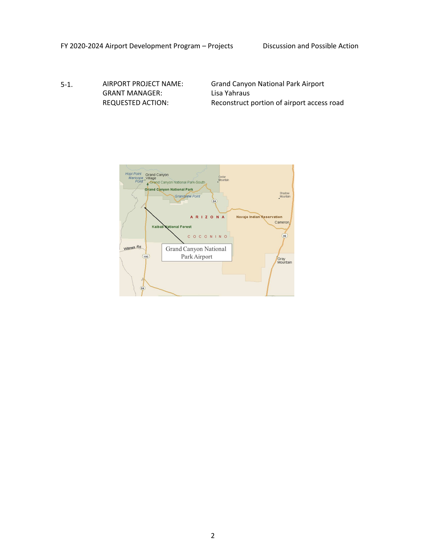5-1. AIRPORT PROJECT NAME: GRANT MANAGER: REQUESTED ACTION:

Grand Canyon National Park Airport Lisa Yahraus Reconstruct portion of airport access road

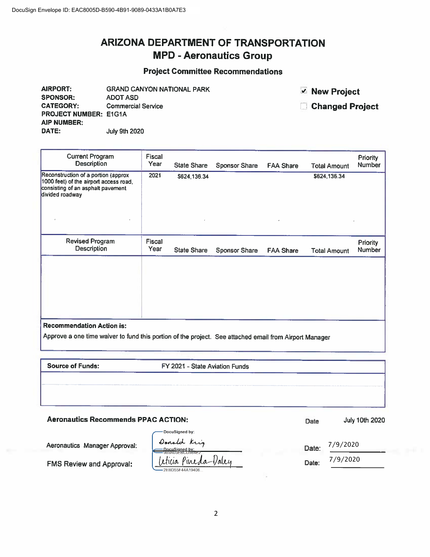### **ARIZONA DEPARTMENT OF TRANSPORTATION MPD - Aeronautics Group**

#### **Project Committee Recommendations**

**GRAND CANYON NATIONAL PARK** AIRPORT: **SPONSOR: ADOT ASD CATEGORY: Commercial Service** PROJECT NUMBER: E1G1A AIP NUMBER: DATE: July 9th 2020

**▽ New Project** 

Changed Project

| <b>Fiscal</b><br>Year | <b>State Share</b> | <b>Sponsor Share</b> | <b>FAA Share</b>     | <b>Total Amount</b> | <b>Priority</b><br><b>Number</b> |
|-----------------------|--------------------|----------------------|----------------------|---------------------|----------------------------------|
| 2021                  | \$624,136.34       |                      |                      | \$624,136.34        |                                  |
| Fiscal<br>Year        | <b>State Share</b> |                      |                      |                     | Priority<br><b>Number</b>        |
|                       |                    |                      |                      |                     |                                  |
|                       |                    |                      |                      |                     |                                  |
|                       |                    |                      |                      |                     |                                  |
|                       |                    |                      | <b>Sponsor Share</b> | <b>FAA Share</b>    | <b>Total Amount</b>              |

**Source of Funds:** 

FY 2021 - State Aviation Funds

#### **Aeronautics Recommends PPAC ACTION:**

| <b>Aeronautics Recommends PPAC ACTION:</b> |                                                  |       | <b>July 10th 2020</b> |  |
|--------------------------------------------|--------------------------------------------------|-------|-----------------------|--|
|                                            | DocuSianed by:                                   |       |                       |  |
| Aeronautics Manager Approval:              | Donald Krig<br>DocuSianed bv:<br>989A05EBCD984F2 | Date: | 7/9/2020              |  |
| <b>FMS Review and Approval:</b>            | Pineda-<br>eticia<br>2EBD55F44A19406             | Date: | 7/9/2020              |  |
|                                            |                                                  |       |                       |  |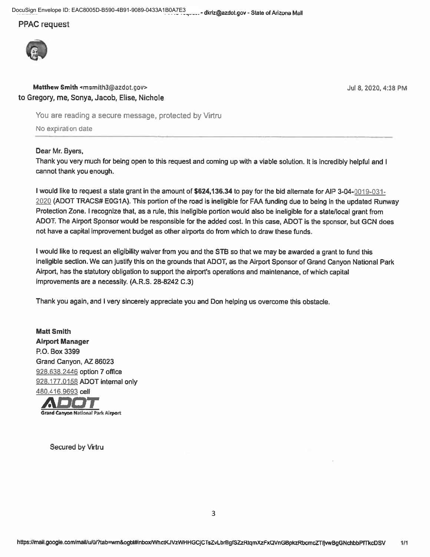DocuSign Envelope ID: EAC8005D-B590-4B91-9089-0433A1B0A7E3 .. - dkriz@azdot.gov - State of Arizona Mail

#### **PPAC** request



#### Matthew Smith <msmith3@azdot.gov> to Gregory, me, Sonya, Jacob, Elise, Nichole

You are reading a secure message, protected by Virtru

No expiration date

#### Dear Mr. Byers,

Thank you very much for being open to this request and coming up with a viable solution. It is incredibly helpful and I cannot thank you enough.

I would like to request a state grant in the amount of \$624,136.34 to pay for the bid alternate for AIP 3-04-0019-031-2020 (ADOT TRACS# E0G1A). This portion of the road is ineligible for FAA funding due to being in the updated Runway Protection Zone. I recognize that, as a rule, this ineligible portion would also be ineligible for a state/local grant from ADOT. The Airport Sponsor would be responsible for the added cost. In this case, ADOT is the sponsor, but GCN does not have a capital improvement budget as other airports do from which to draw these funds.

I would like to request an eligibility waiver from you and the STB so that we may be awarded a grant to fund this ineligible section. We can justify this on the grounds that ADOT, as the Airport Sponsor of Grand Canyon National Park Airport, has the statutory obligation to support the airport's operations and maintenance, of which capital improvements are a necessity. (A.R.S. 28-8242 C.3)

Thank you again, and I very sincerely appreciate you and Don helping us overcome this obstacle.

**Matt Smith Airport Manager** P.O. Box 3399 Grand Canyon, AZ 86023 928.638.2446 option 7 office 928.177.0158 ADOT internal only 480.416.9693 cell



**Secured by Virtru** 

Jul 8, 2020, 4:38 PM